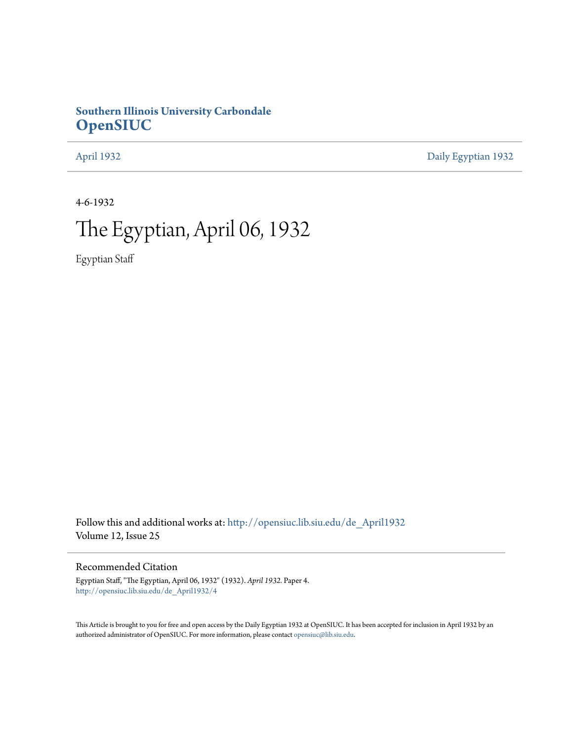### **Southern Illinois University Carbondale [OpenSIUC](http://opensiuc.lib.siu.edu?utm_source=opensiuc.lib.siu.edu%2Fde_April1932%2F4&utm_medium=PDF&utm_campaign=PDFCoverPages)**

[April 1932](http://opensiuc.lib.siu.edu/de_April1932?utm_source=opensiuc.lib.siu.edu%2Fde_April1932%2F4&utm_medium=PDF&utm_campaign=PDFCoverPages) [Daily Egyptian 1932](http://opensiuc.lib.siu.edu/de_1932?utm_source=opensiuc.lib.siu.edu%2Fde_April1932%2F4&utm_medium=PDF&utm_campaign=PDFCoverPages)

4-6-1932

## The Egyptian, April 06, 1932

Egyptian Staff

Follow this and additional works at: [http://opensiuc.lib.siu.edu/de\\_April1932](http://opensiuc.lib.siu.edu/de_April1932?utm_source=opensiuc.lib.siu.edu%2Fde_April1932%2F4&utm_medium=PDF&utm_campaign=PDFCoverPages) Volume 12, Issue 25

#### Recommended Citation

Egyptian Staff, "The Egyptian, April 06, 1932" (1932). *April 1932.* Paper 4. [http://opensiuc.lib.siu.edu/de\\_April1932/4](http://opensiuc.lib.siu.edu/de_April1932/4?utm_source=opensiuc.lib.siu.edu%2Fde_April1932%2F4&utm_medium=PDF&utm_campaign=PDFCoverPages)

This Article is brought to you for free and open access by the Daily Egyptian 1932 at OpenSIUC. It has been accepted for inclusion in April 1932 by an authorized administrator of OpenSIUC. For more information, please contact [opensiuc@lib.siu.edu](mailto:opensiuc@lib.siu.edu).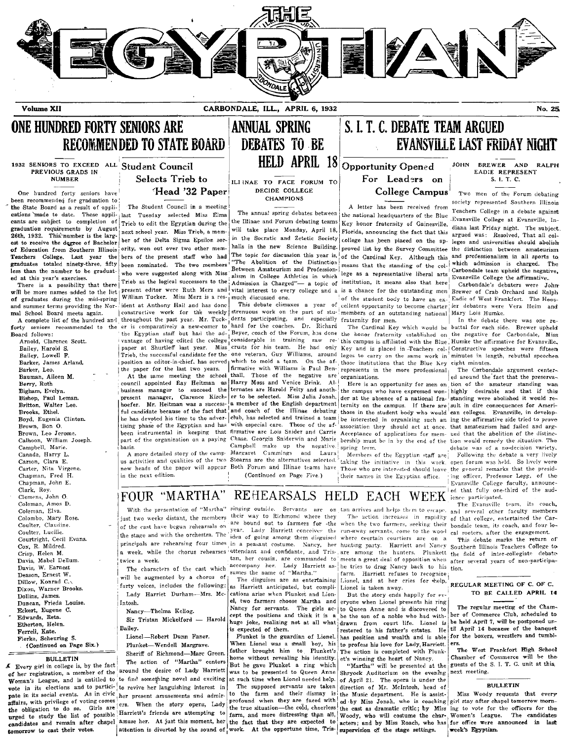

Volume XII CARBONDALE, ILL., APRIL 6, 1932 No. 25.

## RECOMMENDED TO STATE BOARD

PREVIOUS GRADS IN

**EVANSVILLE LAST FRIDAY NIGHT**<br>
PREVIOUS GRADS IN ALLE Student Council **HELD APRIL 18**<br>
PREVIOUS GRADS IN EXERCISE TRIEB TO TACE FORUM TO DEPORTUNITY Opened FOR SALLE AND RALPH<br>
NUMBER Selects Trieb to ILLINAE TO FACE FORU One hundred forty seniors have<br>
been recommended for graduation sensible comment in a meeting<br>
the Student Council in a meeting<br>
the Student Council in a meeting<br>
the Student Council in a meeting<br>
the national headquarters cants are subject to completion of Trieb to edit the Egyptian during the the Illinae and Forum debating teams key honor fraternity of Gainesville, Than last Friday night. The subject.<br>
26th, 1932. This number is the large 26th, 1932. This number is the large ber of the Delta Sigma Epsilon sore in the Socratic and Zetetic Society college has been placed on the apple ages and universities show the result of Education from Southern Illinois o or coursuon in southern running  $\sim$ .<br>Teachers College. Last year the bers of the present staff who had The topic for discussion this year is, I of the Cardinal Key. Although this and professionalism in all sports to<br>erad graduates totaled ninety-three, fifty been nominated. The two members  $\frac{1}{1}$  HThe Abolition of the Distinction  $\frac{1}{1}$  means that the standing of the column of the standing of the column standard in the standard in t

will be more names added to the her liver and the herz and vital interest to every college and a is a chance for the outstanding men Brewer of Crab Orchard and Ralph and Ralph and Ralph and Ralph and Ralph and Ralph and R of graduates during the mid-spring William Tucker. Miss Merz is a res-i much discussed one. So a lot the student body to have an ex- Eadie of West Frankfort. The Hoos-<br>and summer terms providing the Nor- ident at Anthony H on graduates write with the Nor- Ident at Anthony Hall and has done This debate climaxes a year of cellent opportunity to become charter ier debaters were Vera Heim and summer terms providing the Nor- Ident at Anthony Hall

Edwards, Reta. Sir Tristan Mickelford — Harold Etherton, Helen. and the son of a noble who had with-

pate in its social events. As in civic her present amusements and admir- to the farm and their dismay is the Music department. He is assist-<br>affairs, with privilege of voting comes erg. When the story conens. Lady profound

cants are subject to completion of Trieb to edit the Egyptian during the <sup>the</sup> Ellinae and Forum debating teams  $\frac{1}{2}$  Eva honor fraternity of Gainesville, diana last Friday and Ellinge at Evansville, The subject in th mal School Board meets again. I constructive work for the weekly strenuous work on the part of stu-I members of an outstanding national Mary Lois Humke.<br>A complete list of the hundred and throughout the past year. Mr. Tuck

Board follows: the Egyptian staff but had the ad-, Beyer, coach of the Forum, has done the honor fraternity established on the negative for Carbondale, Miss.<br>Arnold, Clarence Scott. [vantage of having edited the college co Arnold, Clarence Scott. Naturage of having edited the college considerable in training raw re-'this campus is affiliated with the Blue Humke the affirmative for Evansville.<br>Bailey, Harold S. Natural paper at Shurtleff last Bailey, Lowell F. [Trieb, the successful candidate for the one veteran, Guy Williams, around leges to carry on the same work in minutes in length, rebuttal speeches Barker, James Arland, [nebuttal speeches] [nebuttal speec Barker, James Arland. In the paper for the last two years.  $\begin{array}{c|c|c|c|c|c|c|c} \text{Barker, Lene.} & \text{where} & \text{where} & \text{where} & \text{where} & \text{where} & \text{where} & \text{where} & \text{where} & \text{where} & \text{where} & \text{where} & \text{where} & \text{where} & \text{where} & \text{where} & \text{where} & \text{where} & \text{where} & \text{where} & \text{where} & \text{where} & \text$ 

# 1932 SENIORS TO EXCEED ALL Student Council **HELD APRIL 18** Opportunity Opened JOHN BREWER AND RALPH

A complete list of the hundred and throughout the past year. Mr. Tuck- dents participating, and especially fraternity for men. In the debate there was one re-<br>forty seniors recommended to the er is comparatively a new-come Campbell, Marie. (Sampbell make up the negative gring term. The camp- debate was of a no-decision variety.<br>Canada, Harry L. A more detailed story of the camp- Margaret Cummings and Laura Members of the Egyptian staff are:

ONE HUNDRED FORTY SENIORS ARE **lannual spring to state in the Senior Senior**s of Annual Spring sections of S. I. T. C. DEBATE TEAM ARGUED<br>recommended to state board **debates** to be the sevansville last friday night

## Selects Trieb to  $\left|$ ILLINAE TO FACE FORUM TO For Leaders on

halls in the new Science Building. proved list by the Survey Committee the distinction between amateurism less than the number to be graduat- who were suggested along with Miss-Between Amateurism and Profession-Ilege as a representative liberal arts | Carbondale team upheld the negative.<br>ed at this year's exercises. The negati There is a possibility that there  $\begin{matrix} \text{Trieb} \text{ as the logical successor to the information is charged} \\ \text{Admission is charged} \end{matrix}$  a topic of institution, it means also that here  $\begin{matrix} \text{D}^{\text{X}} \\ \text{D}^{\text{X}} \\ \text{D}^{\text{X}} \\ \text{E} \end{matrix}$  and  $\begin{matrix} \text{D}^{\text{X}} \\ \text{D}^{\text{X}} \\ \text{D}^{\text$ 

Bigham, Evelyn.<br>Bishop, Paul Leman. 1990 business manager, Clarence Kirch- er to be selected. Miss Julia Jonah, der at the absence of a national fra- standing were abolished it would re-Britton, Walter Lee.  $h_{\text{no-1}}$  hoefer. Mr. Heitman was a success- $\frac{1}{2}$  a. member of the English department  $\frac{1}{2}$  for the campus. If there are I suit in dire consequences for Ameri-Brooks, Ethel. Full candidate because of the fact that and coach of the Illinae debating those in the student body who would can colleges. Evansville, in develop-<br>Boyd, Eugenia Clinton. The has devoted his time to the adv Bowder to the has devoted his time to the adver-<br>he has devoted his time to the adver-<br>tising phase of the Egyptian and has with especial care. Those of the af-association they should act at once that amateurism had faile Brown, Bon O. The Stroman controller the Egyptian and has with especial care. Those of the af- association they should act at once. that amateurism had failed and arg-<br>Brown, Leo Jerome. Show the phase of the Egyptian and Brown, Leo Jerome.<br>Calhoon, William Joseph. been instrumental in keeping that firmative are Lois Sniderwin and Marie bership must be in by the end of the tion would remedy the situation. The Calhoon, William Joseph.

taking the initiative in this work, open forum was held. So lively were Those who are interested should leave the general remarks that the presid-Carter, Nita Virgene.<br>Carter, Nita Virgene. new heads of the paper will appear Both Forum and Illinae teams have Those who are interested-should leave<br>Continued on Page Five. [International remarks the Peyrotian office

**One hundred forty seniors have a set of the College Campus** Two men of the Forum debating<br> **DECIDE COLLEGE** College Campus I Two men of the Forum debating<br> **Decimination of the Forum debating** CHAMPIONS EAD:E REPRESENT S. I. T. C.

Bauman, Aileen M. The same meeting the school thall. Those of the negative are I organizations.<br>Bermy, Ruth and the fact that the preserva-<br>Bermy, Ruth council appointed Ray Heitman as Harry Moss and Venice Brink. All Here Berry, Ruth , council appointed Ray Heitman as Harry Moss and Venice Brink. All Here is an opportunity for men on, tion of the arateur standing was;<br>Bigham, Evelyn. Susiness manager to succeed the ternates are Harold Felty Calhoon, William Joseph. | part of the organization on a paying Chase. Georgia Sniderwin and Marie bership must be in by the end of the tion would remedy the situation. The Campbell make up the negative. spring term. (deba

Chapman, Fred H. in the next edition. In the next edition. In the Continued on Page Five.) their names in the Egyptian office. Ing officer, Professor Legg, of the chapman, John E. Evansville College faculty, announc-

The regular meeting of the Chamber of Commerce Club, scheduled to be held April 7, will be postponed until April 14 because of the banquet for the boxers, wrestlers and tumbl-

### Clark, Roy.<br>Clemens, John O. **FOUR "MARTHA" REHEARSALS HELD EACH WEEK** entitionet that fully one-third of the aud-<br>Coleman, Amos D. **ICOUR "MARTHA" REHEARSALS HELD EACH WEEK** entitionated. Coleman, Amos D. The Evansville team, its coach,  $\blacksquare$  The Evansville team, its coach,  $\blacksquare$  The Evansville team, its coach,  $\blacksquare$  With the presentation of "Martha" singing-outside. Servants are on tan arrives and help

gillow, Konrad C.\;<br>Dixon, Warner Brooks. [forty voices, includes the following: as Harriett anticipated, but compli- Lionel is taken away.<br>Dalling James and Lion, and Harriet Durham—Mrs. Mc- cations arise when Plunket and

Dollins, James. I Lady Harriet Durham-Mrs. Mc- cations arise when Plunket and Lion-<br>Durcan, Frieda Louise. Intosh. Hency --Thelma Kellog. Nancy for servants. The girls ac- to Queen Anne and is discovered to<br>Eckert, Eugene

Fierke, Scheuring S. Iionel-Robert Dunn Faner. Plunket is the guardian of Lionel.<br>
(Continued on Page Six.) Plunket-Wendell Margrave. When Lionel was a small boy, his BULLETIN Sheriff of Richmond—Marc Green. Such the section of "Martha" centers but revealing his identity et's winning the heart of Nancy.<br>
Figure 2011 and the gave Plunket a ring which "Martha" will be presented at the gue

Coleman, Elva. **We are all to Week of Martha** eight way to Richmond where they The action increases in rapidity of that college, entertained the Car-<br>Colombo, Mary Rose. **Figure 1992** just two weeks distant, the members ar Davis, Mabel Denuin. The characters of the cast which accompany her. Lady Harriett as the tries to drag Nancy back to his tion. The several years of non-participa-<br>Davis, W. Earnest vers of opposition When a several years Davis, W. Earnest Text.<br>Davis, W. Earnest The characters of the cast which accompany her. Lady Harriett as-I he tries to drag Nancy back to his tion.<br>Deason, Ernest W. [The augmented by a chorus of m. [The characters] The Deason, Ernest W.  $\begin{bmatrix} \text{will be augmented by a chorus of} \\ \text{Dillow, Konrad C.} \end{bmatrix}$  . The disguises are as entertaining Lionel, and at her cries for welp,

 $\begin{vmatrix} \text{el} & \text{two farmers choose } \text{Mark}_1 \text{ and } \text{eryone when } \text{Linear trees this ring} \end{vmatrix}$ Eckert, Eugene C. It also accept the girls ac- to Queen Anne and is discovered to  $\sum_{n=1}^{\infty}$  (ept the positions and think it is a be the son of a noble who had with-Eulericult, Irec.<br>
Ferrel, Kate. Bailey. Bailey. <br>
Fishel Scheuring S. Lionel—Robert Dunn Faner. Plunket is the guardian of Lio huge joke, realizing not at all what drawn from court life. Lionel is

Every girl in college is, by the latter and the desire of Lady Harriett was to be presented to Queen Anne Shryock Auditorium on the evening mext meeting.<br>Woman's League, and is entitled to to find something novel and exci Woman's League, and is entitled to to find something novel and exciting at such time when Lionel needed help. of April 21. The opera is under the **NAMA CONTANTIAN** in the supposed in its elections and to partici- the supp pate in its social events. As in civic her present amusements and admir- to the farm and their dismay is the Music department. He is assist-<br>affairs, with privilege of voting comes that every opens, Lady profound when they unity we for the obligation to do so. Girls are ers. When the story opens, Lady the true situation—the cold, cheerless the cast as dramatic critic; by Miss ing to vote for the officers for the are enterption to farm, and m

Coulter, Claudine. The Coulter of the cast have begun rehearsals on consultation of the when the two farmers, seeking their bondale team, its coach, and four lo-<br>Coulter, Claudine. The the cast have begun rehearsals on con Coulter, Lucille.<br>Courtright, Cecil Evans. The stage and with the orchestra. The idea of going among them disguised where ceertain courtiers are on a phis debate marks the return of Cox, R. Mildred. **The principals are rehearsing four times** in a peasant costume. Nancy, her hunting party. Harriett and Nancy Southern Illinois Teachers College to College to the final a week, while the chorus rehearses a

(Continued on Page Six.) Plunket—Wendell Margrave. When Lionel was a small boy, his to profess his love for Lady Harriett. ers.<br>Sheriff of Richmond—Marc Green. [ather brought him to Plunket's The action is completed with P

urged to study the list of possible Eurities friends are attempting to farm, and more distressing than all, Woody, who will costume the char- Women's League. The candidates and remain after chapel amuse her. At just this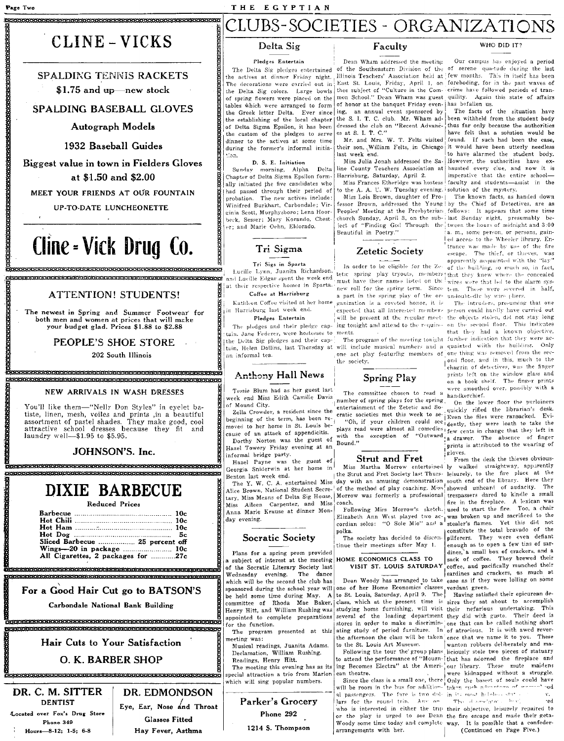#### THE EGYPTIAN

#### CLUBS-SOCIETIES - ORGANIZATIONS

Faculty

### CLINE - VICKS

**SPALDING TENNIS RACKETS**  $$1.75$  and up-new stock

SPALDING BASEBALL GLOVES

**Autograph Models** 

1932 Baseball Guides

Biggest value in town in Fielders Gloves at \$1.50 and \$2.00

MEET YOUR FRIENDS AT OUR FOUNTAIN

UP-TO-DATE LUNCHEONETTE

## Cline - Vick Drug Co.

### **ATTENTION! STUDENTS!**

The newest in Spring and Summer Footwear for<br>both men and women at prices that will make your budget glad. Prices \$1.88 to \$2.88

PEOPLE'S SHOE STORE

202 South Illinois

#### NEW ARRIVALS IN WASH DRESSES

una proprimera de la construcción de la construcción de la construcción de la construcción de la construcción

You'll like them-"Nelly Don Styles" in eyelet batiste, linen, mesh, voiles and prints ,in a beautiful assortment of pastel shades. They make good, cool<br>attractive school dresses because they fit and<br>laundry well—\$1.95 to \$5.95.

#### JOHNSON'S. Inc.

### DIXIE BARBECUE

| Reduced Prices |  |
|----------------|--|
|----------------|--|

| Sliced Barbecue  25 percent off    |  |
|------------------------------------|--|
|                                    |  |
| All Cigarettes, 2 packages for 27c |  |
|                                    |  |

#### For a Good Hair Cut go to BATSON'S

Carbondale National Bank Building 

#### Hair Cuts to Your Satisfaction

O. K. BARBER SHOP .

#### DR. C. M. SITTER **DENTIST** Located over Fox's Drug Store Phone 349 Hours-8-12; 1-5; 6-8

DR. EDMONDSON Eye, Ear, Nose and Throat **Glasses Fitted** Hay Fever, Asthma

#### Delta Sig

#### Pledges Entertain

The Delta Sig pledges entertained the actives at dinner Friday night. Illinois Teachers' Association held at few months. This in itself has been<br>The decorations were carried out in East St. Louis, Friday, April 1, on foreboding, for in the past waves of The decorations were carried out in the Delta Sig colors. Large bowls of spring flowers were placed on the tables which were arranged to form the Greek letter Delta. Ever since the establishing of the local chapter of Delta Sigma Epsilon, it has been the custom of the pledges to serve dinner to the actives at some time during the former's informal initiaion.

D. S. E. Initiation

Sunday morning, Alpha Delta Chapter of Delta Sigma Epsilon formally initiated the five candidates who had passed through their period of probation. The new actives include: Winifred Burkhart, Carbondale; Virginia Scott, Murphysboro; Lena Hoorbeck, Sesser; Mary Korando, Chestor: and Marie Oehn, Eldorado.

Tri Sigma

Tri Sigs in Sparta

and Lucille Edgar spent the week end

at their respective homes in Sparta.

Coffee at Harrisburg

Pledges Entertain

the Delta Sig pledges and their cap-

tain, Helen Dollins, last Thursday at

**Anthony Hall News** 

The pledges and their pledge cap-

in Harrisburg last week end.

on informal tea.

Kathleen Coffee visited at her home

Lucille Lynn, Juanita Richardson,

Dean Wham addressed the meeting of honor at the banquet Friday even- has befallen us. ing, an annual event sponsored by the S. I. T. C. club. Mr. Wham addressed the club on "Recent Advances at S. I. T. C.'

Mr. and Mrs. W. T. Felts visited their son, William Felts, in Chicago last week end.

Miss Julia Jonah addressed the Saline County Teachers Association at Harrisburg, Saturday, April 2.

Miss Frances Etheridge was hostess to the A. A. U. W. Tuesday evening, solution of the mystery. Miss Lois Brown, daughter of Prochurch Sunday, April 3, on the sub-Beautiful in Poetry."

#### Zetetic Society

In order to be eligible for the Zenew roll for the spring term. Since tem. These were severed in half, a part in the spring play of the or- undoubtedly by wire pliers. granization is a coveted honor, it is monte

tain. Jane Federer, were hostesses to the society.

#### **Spring Play**

The committee chosen to read a number of spring plays for the spring entertainment of the Zetetic and So- $\mathbf{Bound.}^{\prime\prime}$ 

#### **Strut and Fret**

coach.

cordian solos: "O Sole Mio" and a polka.

The society has decided to discontinue their meetings after May 1.

### VISIT ST. LOUIS SATURDAY

Dean Woody has arranged to take one of her Home Economics classes verdant green.<br>to St. Louis, Saturday, April 9. The Having satisfied their epicurean deto the St. Louis Art Museum.

ing Becomes Electra" at the American theatre.

will be room in the bus for addition- taken guch advents no we we al passengers. The fare is two dole in its most helobox state. lars for the round trin. Any on Woody some time today and complete way. It is possible that a confederarrangements with her.

WHO DID IT?

Our campus has enjoyed a period of the Southeastern Division of the of serene quietude during the last thee subject of "Culture in the Com-crime have followed periods of tranmon School." Dean Wham was guest quility. Again this state of affairs

The facts of the situation have been withheld from the student body thus far only because the authorities have felt that a solution would be found. If such had been the case it would have been utterly needless to have alarmed the student body. However, the authorities have exhausted every clue, and now it is imperative that the entire schoolfaculty and students-assist in the

The known facts, as handed down fessor Brown, addressed the Young by the Chief of Detectives, are as<br>Peoples' Meeting at the Presbyterian follows: It appears that some time last Sunday night, presumably beject of "Finding God Through the tween the hours of midnight and 3:00 a. m., some person, or persons, gained access to the Wheeler library. Entrance was made by use of the fire escape. The thief, or thieves, was apparently acquainted with the "lay" of the building, so much so, in fact, tetic spring play tryouts, members that they knew where the concealed must have their names listed on the wires were that led to the alarm sys-

The intruders, presuming that one expected that all interested members person could hardly have carried out will be present at the regular meet- the objects stolen, did not stay long ing tonight and attend to the require- on the second floor. This indicates that they had a known objective, The program of the meeting tonight further indication that they were acwill include musical numbers and a quainted with the building. Only one act play featuring members of one thing was removed from the second floor, and in this, much to the chagrin of detectives, was the finger prints left on the window glass and<br>on a book shelf. The finger prints were smoothed over, possibly with a

handkerchief. On the lower floor the purloiners quickly rifled the librarian's desk. eratic societies met this week to se- Even the files were ransacked. Evi-"Oh, if your children could see dently, they were loath to take the plays read were almost all comedies few cents in change that they left in with the exception of "Outward a drawer. The absence of finger prints is attributed to the wearing of

gloves. From the desk the thieves obvious-

Miss Martha Morrow entertained ly walked straightway, apparently the Strut and Fret Society last Thurs. leisurely, to the fire place at the day with an amusing demonstration south end of the library. Here they<br>of the method of play coaching. Miss showed unheard of audacity. The tary, Miss Means of Delta Sig House, Morrow was formerly a professional trespassers dared to kindle a small fire in the fireplace. A lexican was Following Miss Morrow's sketch. used to start the fire. Too, a chair Elizabeth Ann West played two ac- was broken up and sacrificed to the stealer's flames. Yet this did not constitute the total bravado of the pilferers. They were even defiant enough as to open a few tins of sardines, a small box of crackers, and a sack of coffee. They brewed their coffee, and pacifically munched their sardines and crackers, as much at ease as if they were lolling on some

> class, which at the present time is sires they sat about to accomplish studying home furnishing, will visit their nefarious undertaking. This several of the leading department they did with gusto. Their deed is stores in order to make a discrimin-one that can be called nothing short ating study of period furniture. In of atrocious. It is with awed reverthe afternoon the class will be taken ence that we name it to you. These wanton robbers deliberately and ma-

> Following the tour the group plans liciously stole two pieces of statuary to attend the performance of "Mourn-that has adorned the fireplace and our library. These mute maidens were kidnapped without a struggle. Since the class is a small one, there Only the basest of souls could have The officer distance  $\sim 1.7\, \mathrm{m}^{-1}$ who is interested in either the trip their objective, leisurely repaired to or the play is urged to see Dean the fire escape and made their geta-

(Continued on Page Five.)

meeting was: Musical readings, Juanita Adams. Declamation, William Rushing. Readings, Henry Hitt. The meeting this evening has as its special attraction a trio from Marion which will sing popular numbers.

week end Miss Edith Camille Davis of Mound City. Zella Crowder, a resident since the beginning of the term, has been removed to her home in St. Louis be-

Tessie Blum had as her guest last

cause of an attack of appendicitis. Dorthy Norton was the guest of Hazel Towery Friday evening at an informal bridge party.

Hazel Payne was the guest of Georgia Sniderwin at her home in Benton last week end.

The Y. W. C. A. entertained Miss Alice Brown, National Student Secre-Miss Aileen Carpenter, and Miss Anna Marie Krause at dinner Monday evening.

#### Socratic Society

Plans for a spring prom provided subject of interest at the meeting HOME ECONOMICS CLASS TO of the Socratic Literary Society last The dance Wednesday evening. which will be the second the club has sponsored during the school year will be held some time during May. A committee of Rhoda Mae Baker, Henry Hitt, and William Rushing was appointed to complete preparations for the function. The program presented at this

Parker's Grocery

Phone 292

1214 S. Thompson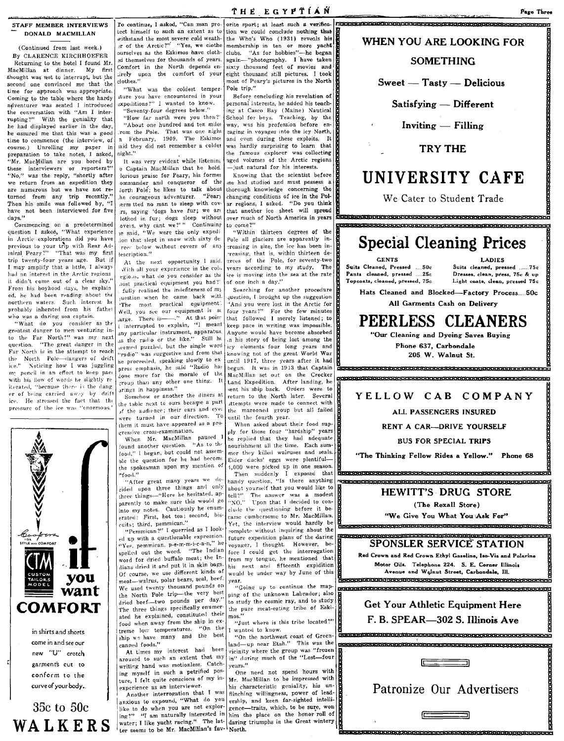#### ST AFF MEMBER INTERVIEWS DONALD MACMILLAN

(Continued from last week.) By CLARENCE KIRCHHOEFER Returning to the hotel I found Mr, MacMillan at dinner. My first thought was not to interrupt, but the second one convinced me that the time for approach was appropriate. Coming to the table where the hardy adventurer was seated I introduced the conversation with "Am I interrupting?" With the geniality that he had displayed earlier in the day, he assured me that this was a good time to commence (the interview, of course.) Unrolling my paper in preparation to take notes, I asked, liM)'. MacMillan are you bored by these interviewers or reporters?"<br>"No," was the reply, "shortly after we return from an expedition they are numerous but we have not re· turned from any trip recently."<br>Then his smile was followed by "I Then his smile was followed by, have not been interviewed for five days."

Commencing on a predetermined question I asked, "What experience in Arctic explorations did you have previous to your trip with Rear Ad-<br>miral Peary?" "That was my first trip twenty-four years ago. But if I may amplify that a little, I always had an interest in the Arctic regions it didn't come out of a clear sky. From his boyhood days, he explain ed, he had been reading about the northern waters. Such interest he probably inherited from his fathel who was a daring sea captain.

"What do you consider as the greatest danger to men venturing in-<br>to the Far North?" was my next<br>question. "The great danger in the Far Xorth is in the attempt to reach the North Pole-dangers of drift<br>ice." Noticing how I was juggling Noticing how I was juggling my pencil in an effort to keep pace with his flow of words he slightly re. iterated, "because there is the danger of being carried aw.1y by drift ice. He stressed the fact that the pressure of the ice was "enormous."



curve of your body. 35c to 50c WALKERS

conform to the

"What was the coldest temper- $\left| \begin{array}{c} \text{Pole trip."} \\ \text{Before concluding his revelation of} \end{array} \right|$ 

o Captain MacMillan that he hold.  $-$ just natural for his interests.<br>Joujous praise for Peary, his former Knowing that the scientist before 1e said, "We were the only expedi | "Within thirteen degrees of the ion that slept in snow with sixty de  $\vert$  Pole all glaciers are apparently inion that slept in snow with sixty de

. With all your experience in the cologious, what do you consider as the ,lost practical equipment you had?'<br>"fully realized the indefiteness.of.my fully realized the indefiteness of m<sub>)</sub> Searching for another procedure fully realized the indefitences of m<sub>1</sub> Searching for another procedure Well, you see our equipment is so arge. There is -----..." At that point any particular instrument, apparatus as the radio or the like." Still he seemed puzzled, but the single word

the table next to ours became a part .f.the audience; their ears and eyer were turned in our direction. To until the fourth year.<br>them it must have appeared as a pro- When asked about their food supthem it must have appeared as a progressive cross-examination.

ble the question for he had become the spokesman upon my mention of

"Yes, pemmican, p-e-m-m-i-c-a-n," he spelled out the word. "The Indian meat—walrus, polar bears, seal, beef. year.<br>We used twenty thousand pounds on *"Going* up to continue the map-We used twenty thousand pounds on the North Pole trip-the very best food when away from the ship in ex mos."<br>
from the ship in explanation of the ship in exercise of Green. This was the ship we have many and the best in wanted to know.<br>  $\frac{1}{2}$  wanted to know.<br>  $\frac{1}{2}$  cannot from the

writing hand was motionless. Catch vears."<br>ing myself in such a petrified pos- One need not spend hours with ing myself in such a petrified pos-<br>ture, I felt quite conscions of my in-

water; I like yacht racing." The lat- daring triumphs in the Great wintery<br>ter seems to be Mr. MacMillan's fav- North. ter seems to be Mr. MacMillan's fav-<sup>1</sup>North. **a:** IEB:**weChiCHICKIERING:web/lickieli/Elickicki/Elickickielistickielistickielistickielistickielistickielelistickielelistickielistickielelistickielistickielistickielistickieli** 

To continue, I asked, "Can man pro- orite sport; at least such a verifica- result at the second continue of the state of the state of the state of the state of the state of the state of the state of the state of the state tion we could conclude nothing that<br>the Who's Who  $(1931)$  reveals his withstand the most severe cold weath the Who's Who (1931) reveals his WHEN YOU ARE LOOKING FOR 2d themselves for thousands of years.  $\frac{1}{2}$  again-"photography. I have taken  $\frac{1}{2}$  SOMETHING Comfort in the North depends en sixty thousand feet of movies and  $\frac{1}{2}$  $\begin{array}{c|c|c|c|c|c} \text{curse} & \text{if} & \text{complement} & \text{complement} & \text{complement} & \text{complement} & \text{complement} \end{array}$ <br>  $\begin{array}{c|c|c|c} \text{at the maximum number of years} & \text{if} & \text{if} & \text{if} & \text{if} & \text{if} & \text{if} & \text{if} & \text{if} & \text{if} & \text{if} & \text{if} & \text{if} & \text{if} & \text{if} & \text{if} & \text{if} & \text{if} & \text{if} & \text{if} & \text{if} & \text{$ Figure 1. The comfort of your eight thousand still pictures. I took clothes." most of Peary's pictures in the North<br>Pole trip."

iture you have encountered in your Before concluding his revelation of  $\frac{1}{2}$  expeditions?" I wanted to know. personal interests, he added his teach-"Seventy-four degrees below." tng at Casco Bay (Maine) Nautical "How far north were you then'? School for boys. Teaching, by the "About one hundred and ten miles way, was his profession before en-<br>om the Pole. That was one night raging in voyages into the icy North, rom the Pole. That was one night *raging* in voyages into the icy North,  $n$  February, 1909. The Eskimot and even during these exploits. It ;aid they did not remember a colder was hardly surprising to learn that  $\frac{1}{2}$  the famous explorer was collecting the famous explorer was collecting<br>aged volumes of the Arctic regions It was very evident while listening aged volumes of the Arctic region MacMillan that he hold  $-$ just natural for his interests.

lorious praise for Peary, his former Knowing that the scientist before and conqueror of the  $\log$  had studied and must possess and ommander and conqueror of the  $\begin{vmatrix}$  me had studied and must possess a lorth Pole: he likes to talk about the provide knowledge concerning the Jorth Pole; he likes to talk about thorough knowledge concerning the like courageous adventurer. "Pears changing conditions of ice in the Pol- $\begin{array}{c|c|c|c|c|c|c} \hline \end{array}$  error of man to sleep with coverage arregions, I asked. "Do you think  $\begin{array}{c|c|c|c|c|c} \hline \end{array}$  rs. saving 'dogs have fur; we are that another ice sheet will spread rs, saying 'dogs have fur; we are that another ice sheet will spread lothed in fur; dogs sleep without over much of North America in years lothed in fur; dogs sleep without over much of North America in years<br>overs, why cant we?'" Continuing to come?''

reasing in size, the ice has been in-<br>"reasing, that is, within thirteen derees below without covers of any creasing in size, the ice has been in-<br>  $\frac{1}{2}$  reasing in size, the ice has been in-<br>  $\frac{1}{2}$  reasing, that is, within thirteen de-<br>  $\frac{1}{2}$  reasing that is, within thirteen de-At the next opportunity I said. grees of the Pole, for seventy-two ice is moving into the sea at the rate<br>of one inch a day."

uestion when he came back witt .juestion, I brought up the suggestion The most practical equipment.  $\frac{1}{2}$  And you were lost in the Arctic for 'And you were lost in the Arctic for<br>four years?'' For the few minutes that followed I merely listened; to<br>keep pace in writing was impossible.  $[i]$  interrupted to explain, "1 meant  $[k]$  keep pace in writing was impossible,  $[i]$  keep pace in writing was impossible, ..is the radiI) or the like." Still hl ,n his story of being lost among the "radio" was suggestive and from that  $k$  and  $n$  in the great World War he proceeded, speaking slowly to extract 1 1917, three years after it had he proceeded, speaking slowly to ex until 1917, three years after it had press emphasis, he said "Radio has begun. It was in 1913 that Captain press emphasis, he said "Radio ha: begun. It was in 1913 that Captain<br>done more for the morale of the MacMillan set out on the Crocker Jone more for the morale of the MacMillan set out on the Crocker<br>group than any other one thing. It tand Expedition. After landing, he froup than any other one thing. It Land Expedition. After landing, he prings in happiness." sent his ship back. Orders were to<br>return to the North later. Several Somehow or another the diners at return to the North later. Several<br> $\epsilon$  table next to ours became a part attempts were made to connect with Ever the marooned group but all failed To until the fourth year.

essive cross-examination. <br>When Mr. MacMillan paused le replied that they had adequate When Mr. MacMillan paused  $1$  he replied that they had adequate found another question. "As to the nourishment all the time. Each sumnourishment all the time. Each sum-<br>mer they killed walruses and seals. food," I began, but could not assem-<br>her the question for he had become  $\frac{m}{E}$  mer they killed walruses and seals. 4,000 were picked up in one season.<br>Then suddenly I exposed that "food." after great many years we de-<br>"After great many years we de- handy question, "Is there anything was anything that we expressed anything that we anything that anything that anything the experiment of the separate ex cided upon three things and only about yourself that you would like to three things—"Here he hesitated, ap. tell?" The answer was a modest three things—"Here he hesitated, ap tell?" The answer was a modest measure this would go  $\frac{1}{N}$ . The answer was a modest into my notes. Cautiously he enum- clude the questioning before it be-<br>erated: First, hot tea; second, bis- came cumbersome to Mr. MacMillan. cuits; third, pemmican." Yet, the interview would hardly be "Pemmican." I querried as I look- complete without inquiring about the complete without inquiring about the<br>future expedition plans of the daring ed up with a questionable expression. The expedition plans of the daring<br>"Yes, pemmican, p-e-m-m-i-c-a-n," he voyager, I thought. However, bespelled out the word. "The Indian fore I could get the interrogation word for dried buffalo meat; the In-<br>from my tongue, he mentioned that -<br>word for dried buffalo meat; the In- from my tongue, he mentioned that<br>dians dried it and put it in skin bags. his next and fifteenth expidition dians dried it and put it in skin bags.  $\frac{1}{\text{his}}$  next and fifteenth expidition Of course, we use different kinds of would be under way by June of this

the North Pole trip-the very best  $\lim_{n \to \infty}$  of the unknown Labrador; also dried beef-two pounds per day." to study the cosmic ray, and to study

inned foods."  $\begin{cases} \text{and} -\text{up near } \text{E} \text{tah."} \text{ This was the}\\ \text{At times } \text{my} \text{ interest} \text{ had } \text{been} \text{ vicinity where the group was "frozen} \end{cases}$ At times my interest had been vicinity where the group was "frozen aroused to such an extent that my  $\frac{1}{n}$ " during much of the "Lost—four in" during much of the "Lost-four

ture, I felt quite conscions of my in  $\begin{bmatrix} Mr \\ Nr \end{bmatrix}$  Mr. MacMillan to be impressed with experience as an interviewer. his characteristic geniality, his un-Another interrogation that  $I$  was flinching willingness, power of leadanxious to expound, "What do you ership, and keen far-sighted intelli-<br>like to do when you are not explor- gence-traits, which, to be sure, won  $\lim_{n \to \infty}$  "I am naturally interested in him the place on the honor roll of

Sweet - Tasty - Delicious

 $Satisfying$  - Different

 $Inviting - Filling$ 

#### TRY THE

### UNIVERSITY CAFE

We Cater to Student Trade

## <u> KRIMMININ KRIMMININ MENTATION KONFERENCHEN KRIMMININ KOMMUNISTION MENTATION K</u> Special Cleaning Prices

u<br>1952-1960 e de leter de la de la de la de la de la de la de la de la de la de la de la de la de la de la de la

Suits Cleaned, Pressed Pants cleaned, pressed .... 25c Topcoats, cleaned, preued, 75c

Suits cleaned. pressed ...... 75c Dresses, clean, press, 75c & up Light coats, clean, pressed 75c

Hats Cleaned and Blocked-Factory Process... 50c All Garments Cash on Delivery

### PEERLESS CLEANERS

"Our Cleaning and Dyeing Saves Buying Phone 637, Carbondale 205 W. Walnut St.

a<br>Concerte contrator de l'antication de l'antication de l'antication de l'antication HhhhFhriKhHh PH HHHHR9HHKYl

#### YELLOW CAB COMPANY

#### ALL PASSENGERS INSURED

RENT A CAR-DRIVE YOURSELF

BUS FOR SPECIAL TRIPS

"The Thinking Fellow Rides a Yellow." Phone 68

.<br><del>Перван спорта на кратото на строите на страните на страните на страните на с</del>

### HEWITT'S DRUG STORE

(The Rexall Store) "We Give You What You Ask For"

### SPONSLER SERVICE STATION

Red Crown and Red Crown Ethyl Gasoline, Iso-Vis and Polarine Motor Oils. Telephone 224. S. E. Corner Illinois Avenue and Walnut Street, Carbondale, Ill. 0<br>Aranan katang dengangkan perangan pertaman pertaman pertama

dried beef-two pounds per day. to study the cosmic ray, and to study  $\frac{1}{10}$   $\frac{1}{10}$   $\frac{1}{10}$   $\frac{1}{10}$   $\frac{1}{10}$   $\frac{1}{10}$   $\frac{1}{10}$   $\frac{1}{10}$   $\frac{1}{10}$   $\frac{1}{10}$   $\frac{1}{10}$   $\frac{1}{10}$   $\frac{1}{10}$   $\frac{1}{10}$ 

\_s-99P9998HkHPSMRR€E &

 $\overline{a}$ hterforden- iZEIEliba:a:Kh:we:&:lleegelel#idileegelel#idilkek.khfhfhfe.khkreen- izeieliba:

1



He e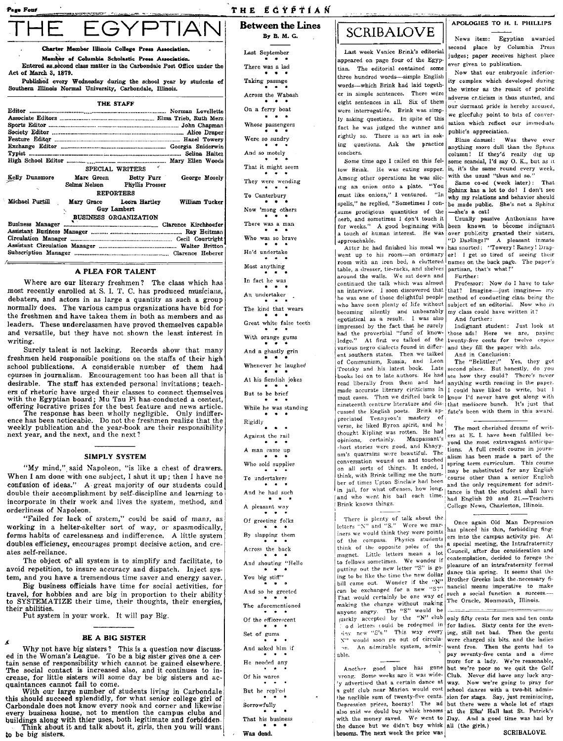Charter Member Illinois College Press Association

Member of Columbia Scholastic Press Association

THE STAFF

Southern Illinois Normal University, Carbondale, Illinois.

Act of March 3, 1879.

Exchange Editor ............

High School Editor .....

Society Editor

Feature Editor

Kelly Dunsmore

Michael Purtill

**Business Manager** 

Circulation Manager

Assistant Business Manage

Assistant Circulation Man

Subscription Manager .....

**Waiter** 

 $T$ ypist ....

Entered as second class matter in the Carbondale Post Office under the

Published every Wednesday during the school year by students of

John Chanman

Alice Draper

### THE EGYPTIAN

**Between the Lines**  $R_{\rm w}$   $R_{\rm w}$   $M_{\rm w}$   $C_{\rm w}$ 

Last September There was a lad Taking passage Across the Wabash On a ferry boat Whose passengers Were so sundry But he replied .<br>Sorrowfully That his business

Was dead.

### **SCRIBALOVE**

Last week Venice Brink's editorial appeared on page four of the Egyptian. The editorial contained some three hundred words-simple English words--which Brink had laid together in simple sentences. There were eight sentences in all. Six of them were interrogative. Brink was simply asking questions. In spite of this fact he was judged the winner and rightly so. There is an art in asking questions. Ask the practice teachers.

Some time ago I called on this feltow Brink. He was eating supper. Among other operations he was slicing an onion onto a plate. "You must like onions," I ventured. "In spells." he replied, "Sometimes J consume prodigious quantities of the aerb, and sometimes I don't touch it nero, and at a touch of human interest. He was over publicity granted their sisters,<br>approachable. "D Darlings!" A pleasant inmate approachable.

After he had finished his meal we went up to his room---an ordinary room with an iron bed, a cluttered table, a dresser, tie-racks, and shelves around the walls. We sat down and continued the talk which was almost an interview I soon discovered that he was one of those delightful people who have seen plenty of life without becoming silently and unbearably egotistical as a result. I was also impressed by the fact that he surely had the proverbial "fund of knowledge." At first we talked of the various negro dialects found in different southern states. Then we talked of Communism, Russia, and Leon Trotsky and his latest book. Late books led on to late authors. He had read liberally from them and had made accurate literary ciriticisms in most cases. Then we drifted back to  $\vert$  know I'd never have got along with nineteenth century literature and dis- that mediocre bunch. It's just that densed the English poets. Shink ap- that memorre punent it's just that<br>cussed the English poets. Brink ap- fate's been with them in this award.<br>preciated Tennyson's mastery of  $\frac{1}{2}$ verse, he liked Byron spirit, and he thought Kipling was rotten. He had opinions, certainly. Maupassant's short stories were good, and Khayyam's quatrains were beautiful. The conversation wound on and touched on all sorts of things. It ended, I think, with Brink telling me the number of times Upton Sinclair had been in jail, for what offenses, how long, and who went his bail each time. Brink knows things.

There is plenty of talk about the letters "N" and "S." Were we mariners we would think they were points of the compass. Physics students think of the opposite poles of the magnet. Little letters mean a lot to fellows sometimes. We wonder if putting out the new letter "S" is going to be like the time the new dollar bill came out. Wonder if the "N" can be exchanged for a new "S?" That would certainly be one way of making the change without making anyone angry. The "S" would be unckly accepted by the "N" club viny new "S's." This way every N" would soon go out of circula- $\infty$ An admirable system, admirable.

Another good place has gone vrong. Some weeks ago it was widey advertised that a certain dance at a golf club near Marion would cost school dances with a two-bit admis-Depression prices, hooray! The ad but there were a whole lot of stags also said we could buy whisk brooms at the Elks' Hall last St. Patrick's with the money saved. We went to  $\overline{Day}$ . And a good time was had by<br>the dance but we didn't buy whisk all (the girls.) brooms. The next week the price was

#### APOLOGIES TO H. I. PHILLIPS

News item: Egyptian awarded econd place by Columbia Press judges; paper receives highest place ever given to publication.

Now that our embryonic inferiority complex which developed during the winter as the result of prolific adverse criticism is thus stunted, and our dormant pride is hereby aroused, we gleefully point to bits of conversation which reflect our immediate public's appreciation.

Blase damsel: Was there ever anything more dull than the Sphinx column! If they'd really dig up some scandal, I'd say  $O$ . K., but as it is, it's the same round every week, with the usual "thus and so."

Same co-ed (week later): That Sphinx has a lot to do! I don't see why my relations and behavior should be made public. She's not a Sphinx she's a cat!

metimes I don't touch it | Usually passive Anthonians have<br>A good beginning with been known to become indignant has snorted: "Towery! Raney! Draper! I get so tired of seeing their names on the back page. The paper's partisan, that's what!" Further:

Professor: Now do I have to take that? Imagine-just imagine- my method of conducting class being the subject of an editorial. Now who in my class could have written it? And further:

Indignant student: Just look at those ads! Here we are, paying and they fill the paper with ads. And in Conclusion:

The "Belittler:" Yes, they got second place. But honestly, do you see how they could? There's never anything worth reading in the paper. I could have liked to write, but 1

The most cherished dreams of writers at E. I. have been fulfilled beyond the most extravagant anticipations. A full credit course in journalism has been made a part of the spring term curriculum. This course may be substituted for any English course other than a senior English and the only requirement for admittance is that the student shall have had English 20 and 21 .- Teachers College News, Charleston, Illinois.

Once again Old Man Depression has placed his thin, forbidding fingers into the campus activity pie. At a special meeting, the Intrafraternity Council, after due consideration and contemplation, decided to forego the pleasure of an intrafraternity formal dance this spring. It seems that the Brother Greeks lack the necessary financial means imperative to make such a social function a success. The Oracle, Monmouth, Illinois.

only fifty cents for men and ten cents od letters could be redeemed in for ladies. Sixty cents for the evening, still not bad. Then the gents were charged six bits. and the ladies went free. Then the gents had to pay seventy-five cents and a dime more for a lady. We're reasonable, but we're poor so we ouit the Golf Club. Never did have any luck anyway. Now we're going to pray for the neglible sum of twenty-five cents. sion for stags. Say, just reminiscing,

|                                                                                                                        | Were so sundry                                                 |
|------------------------------------------------------------------------------------------------------------------------|----------------------------------------------------------------|
|                                                                                                                        |                                                                |
| t                                                                                                                      | And so motely<br>事"。事:                                         |
| SPECIAL WRITERS                                                                                                        | That it might seem<br>* * *                                    |
| Dunsmore<br>Marc Green<br>Betty Furr<br>George Mosely<br>Selma Nelson<br>Phyllis Prosser                               | They were wending                                              |
| <b>REPORTERS</b>                                                                                                       | To Canterbury                                                  |
| vel Purtill<br>Mary Grace<br>Leora Hartley<br>William Tucker<br>Guy Lambert                                            | $\cdots$<br>Now 'mong others                                   |
| <b>BUSINESS ORGANIZATION</b>                                                                                           | $\cdots$<br>There was a man                                    |
|                                                                                                                        | .                                                              |
|                                                                                                                        | Who was so brave<br>* * *                                      |
|                                                                                                                        | He'd undertake                                                 |
| A PLEA FOR TALENT                                                                                                      | Most anything<br>$\cdots$                                      |
| Where are our literary freshmen? The class which has                                                                   | In fact he was<br>$\cdots$                                     |
| recently enrolled at S. I. T. C. has produced musicians,                                                               | An undertaker                                                  |
| ters, and actors in as large a quantity as such a group<br>ally does. The various campus organizations have bid for    | * * *<br>The kind that wears                                   |
| reshmen and have taken them in both as members and as<br>ers. These underclassmen have proved themselves capable       | .<br>Great white false teeth                                   |
| versatile, but they have not shown the least interest in<br>ng.                                                        | With orange gums                                               |
| Surely talent is not lacking. Records show that many                                                                   | And a ghastly grin                                             |
| men held responsible positions on the staffs of their high<br>ol publications. A considerable number of them had       | . .<br>Whenever he laughed                                     |
| ses in journalism. Encouragement too has been all that is<br>able. The staff has extended personal invitations; teach- | . .<br>$\bullet$<br>At his fiendish jokes                      |
| of rhetoric have urged their classes to connect themselves                                                             | But to be brief                                                |
| the Egyptian board; Mu Tau Pi has conducted a contest,<br>ing lucrative prizes for the best feature and news article.  | $\cdots$<br>While he was standing                              |
| The response has been wholly negligible. Only indiffer-<br>has been noticeable. Do not the freshmen realize that the   | Rigidly                                                        |
| dy publication and the year-book are their responsibility<br>year, and the next, and the next?                         | Against the rail                                               |
|                                                                                                                        | A man came up                                                  |
| SIMPLY SYSTEM                                                                                                          |                                                                |
| "My mind," said Napoleon, "is like a chest of drawers.                                                                 | Who sold supplies<br>.                                         |
| n I am done with one subject, I shut it up; then I have no<br>usion of ideas." A great majority of our students could  | To undertakers<br>.                                            |
| le their accomplishment by self-discipline and learning to                                                             | And he had such<br>. .                                         |
| porate in their work and lives the system, method, and<br>rliness of Napoleon.                                         | A pleasant way                                                 |
| "Failed for lack of system," could be said of many, as                                                                 | Of greeting folks<br>* *                                       |
| ing in a helter-skelter sort of way, or spasmodically,<br>s habits of carelessness and indifference. A little system   | By slapping them<br>$\cdots$                                   |
| les efficiency, encourages prompt decisive action, and cre-<br>self-reliance.                                          | Across the back                                                |
| The object of all system is to simplify and facilitate, to                                                             | And shouting "Hello                                            |
| i repetition, to insure accuracy and dispatch. Inject sys-<br>and you have a tremendous time saver and energy saver.   | $\ddot{\phantom{1}}$<br>$\ddot{\phantom{1}}$<br>You big stiff" |
| Big business officials have time for social activities, for                                                            | And so he greeted                                              |
| il, for hobbies and are big in proportion to their ability!<br>YSTEMATIZE their time, their thoughts, their energies,  | The aforementioned                                             |
| abilities.<br>Put system in your work. It will pay Big.                                                                | .<br>Of the efflorescent                                       |
|                                                                                                                        | .<br>Set of gums                                               |
| BE A BIG SISTER<br>Why not have big sisters? This is a question now discuss-                                           | $\bullet$<br>And asked him if                                  |
| the Woman's League. To be a big sister gives one a cer-                                                                | He needed any                                                  |
| sense of responsibility which cannot be gained elsewhere.<br>social contact is increased also, and it continues to in- |                                                                |
| e, for little sisters will some day be big sisters and ac-<br>المط الأمط للما                                          | Of his wares                                                   |

With our large number of students living in Carbondale this should succeed splendidly, for what senior college girl of Carbondale does not know every nook and corner and likewise every business house, not to mention the campus clubs and<br>buildings along with thier uses, both legitimate and forbidden.

most recently enrolled debaters, and actors normally does. The va the freshmen and have leaders. These under and versatile, but the writing.

Surely talent is n freshmen held respons school publications. A courses in journalism. desirable. The staff h ers of rhetoric have u with the Egyptian boa offering lucrative priz-

The response has ence has been noticeab weekly publication ar next year, and the next

"My mind." said When I am done with confusion of ideas." double their accomplis incorporate in their v orderliness of Napoleo

"Failed for lack working in a helter-s forms habits of careles doubles efficiency, encates self-reliance

The object of all avoid repetition, to ins tem, and you have a t

Big business offic travel. for hobbies an to SYSTEMATIZE the their abilities.

Why not have big<br>ed in the Woman's Lea tain sense of responsib The social contact is crease, for little sister quaintances cannot fail to come.

Think about it and talk about it, girls, then you will want to be big sisters.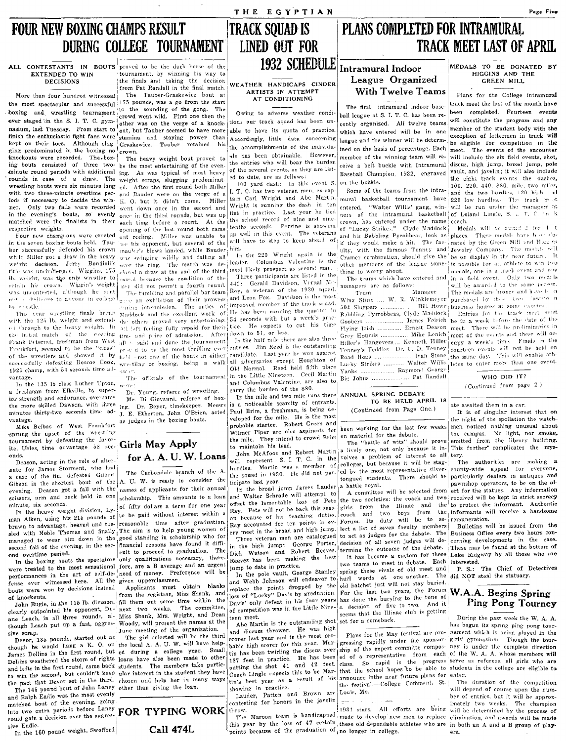### FOUR NEW BOXING CHAMPS RESULT DURING COLLEGE TOURNAMENT

the most spectacular and successful 110 pounds, was a go thom the sant<br>boxing and wrestling tournament to the sounding of the gong. The<br>ever staged in the S. I. T. C. gym- other was on the verge of a knock-<br>ever staged in

while Miller got a draw in the heavy we see winging will all and falling all in the 220 Wright again is the Cramer combination, should give the be on display in the near future. It we get the ring, The match was de-<br>it is title was unchildenged. Wiggins, 175 clared a draw at the end of the third most likely prospect as second man. thing to worry about.<br>
The teams which have entered and in a field event. Only two medils<br>
retain his crown. Wi

a freshman from Elkville, by super-  $\sum_{i=1}^{\infty} Y_i$ ; Young, referce of wrestling. carry the burden of the 880. a treshman from environ to supert Dr. Young, referee of wrestling. | carry we outer the mile and two mile runs there ANNUAL SPRING DEBATE<br>| in the more skilled Dawson, with three  $\frac{1}{2}$  m. Di Giovanni, referee Messrs | the more skilled Dawson, with three ing. Dr. Beyer, timekeeper. Messrs is a noticeable scarcity of entrants.<br>minutes thirty-two seconds time ad- I E Etherton. John O'Brien, acted Paul Brim, a freshman, is being de- (Contin

Mike Belbas of West Frankfort probable starter. Robert Green and been working for the last few weeks men noticed nothing the upset of the wrestling probable starter. Robert Green and peen working for the debate tournament by defeating the favor- Girls May Apply<br>
ithe mile. They intend to crowd Brim The "battle of wits" should prove<br>
ithered intend from the library building.

nate for James Storment, who had nate for James Storment, who had  $\mathbf{a}$  carbondale branch of the A hurdles. Martin was a minimum of  $\mathbf{a}$  rate of the flu, defeated Gilbert  $\mathbf{a}$ . a case of the flu, deteated since the A. U. W. is ready to consider the ticipate last year. The should students. There should be particularly dealers in antiques and a battle royal. There is a battle royal. The should be e evening. Deason got a fall with the names of applicants for their annual In the broad jump James Lauder a battle royal. It for the selected from ert for the statues. Any information scissors, arm and back hold in one schem

sled with Noble Thomas and finally The aim is to help young women of  $\left|\frac{\log x}{\log x}\right|$  are in the broad and high jump.<br>managed to wear him down in the good standing in scholarship who for Three veteran men are catalogued

were treated to the most sensational fore, are a B average and an urgent exerge between practice.<br>performances in the art of self-de-ineed of money. Preference will be improved in the nole vault. George Stanley

though Leach put up a fast, aggres- Woody, will present the names at the  $\frac{1}{\Delta}$  abe Martin is the outstanding Shot I set for a come pack.  $\Delta$  has begun its spring ping pong tour-

In the 160 pound weight, Swofford

ALL CONTESTANTS IN BOUTS proved to be the dark horse of the **INSZ SUMLUULL** Intramural Indoor EXTENDED TO WIN fournament, by winning his way to the finals and taking the decision League Organized ... League Organized , WEATHER HANDICAPS CINDER League Organized

More than four hundred witnessed The Tauber-Graskewicz bout at ARTISTS IN ATTEMPT With I Welve I earns  $\mu$  Plans for the College intramural<br>the most spectacular and successful 175 pounds, was a go from the start and the

in the seven boxing bouts held. Tau-  $\chi_{\text{eff}}$  his opponent, but several of the will ber sheeps and of the  $\chi_{\text{eff}}$  then we'ght decision. Jerry Bondioli's over the ring. The match was de-jleader. Columbus Valentine is the other members of the league some-is possible for an athlete to win two retain his crown. Wiggin's weight neg did not permit a fourth round. 440: Gerald Davidson, Vernal Me-<br>was uncontested, a'though he sent The tumbling and parallel bar team Roy, a veteran of the 1930 squad. Team Manager was uncontested, a'though he sent The tumbling and parallel bar team Roy, a veteran of the 1930 squad. Team Manager The medals are bronze and h .ve b n

In the boxing bouts the spectators only qualifications necessary, there-<br>In the boxing bouts the spectators only qualifications necessary. there-<br>in the pole vault, the pole of the bosing the spectrum of the esteemed a cus

John Bugle, in the 115 lb. division, fill them out some time within the loss of "Lucky" Davis by graduation. For the last two years, the Forum of W.A.A. Begins Spring John Bugle, in the 115 lb. division, fill them out some

matched bout of the evening, going<br>intely two weeks. The champion carty  $\mathbf{FOR}$   $\mathbf{TPING}$  works  $\mathbf{FOR}$  and  $\mathbf{FOR}$  and  $\mathbf{FOR}$  and  $\mathbf{FOR}$  and  $\mathbf{FOR}$  and  $\mathbf{FOR}$  and  $\mathbf{FOR}$  and  $\mathbf{FOR}$  and  $\mathbf{FOR}$  a

### PLANS COMPLETED FOR INTRAMURAL TRACK MEET LAST OF APRIL

## 1932 SCHEDULE Intramural Indoor

THE EGYPTIAN

TRACK SQUAD IS LINED OUT FOR

poxing and wresting tournament crowd went wild. First one then the Owing to adverse weather condi- ball league at S. I. T. C. has been re- been completed. Fourteen events ever staged in the S. I. T. C. gym- other was on th nasium, last Tuesday. From start to out was on the verse when enormed to have its quota of practice. which have entered will be in one member of the student body with the member of the student body with the member of the thish the enthusiastic fight fans were stamina and staying power than accordingly, little data concerning which has even entered will be in our entergy and the second of lettermen in track will<br>he accomplishments of the i ging predominated in the boxing no lerown. The result of the accomplishments of the individu- ined on the basis of percentage. Each meet. The events of the encounter<br>knockouts were recorded. The host-lero heavy weight bui knockouts were recorded. The box-<br>ing bouts consisted of three two- be the most entertaining of the even-<br>ing bouts consisted of three two- be the most entertaining of the even-<br>ing bouts consisted of three two- be the mo be the most entertaining of the even- the entries who will bear the burden  $\begin{bmatrix} \text{eive a belt} \end{bmatrix}$  buckle with Intramural discus, high jump, broad jump, pole ing. As was typical of most heavy of the several events as they mig bouts consisted of the case of the fine finds entertaining of the several events, as they are list-<br>
rounds in case of a draw. The weight scraps slugging predominat- ed to date, are as follows:<br> **From the second period** 

iods if necessary to decide the win- K. O. but it didn't come. Miller tain Carl Wright and Abe Martin mural basketball tournament have 220 low hurdles.- The track method are recorded went down once in the second and Wrigh

out a shallowe to auvoid in college a graphibition of their prowess and Leon Fox. Davidson is the most Winx Stinx ... W. R. Winklemeyer purchased by these two clown of methods at some expense.<br>The antics of improved member Th,. y"RI' ·wl"P:,tlin!:!.: finaL:: tH',c"ar \1addock nnd th(' ,.x("vllcnt work of, He ha:; hCPI] ~U!lnlng thC'. qu~~tr.r, 1~1 B..lhhling- Pyrrohbt'as, CI:-de ::'I-l:ldtlot'k: Entril's fot tIp' tla(,i< ·YH't·t n"\11.;;:;t with the 125 lb. weight and extend  $\cdot$  in the second with the seconds with but a week's prace Banding ryrronocas, civile and uncerally partness for the three with the entertunity. In a metally repaid for their time, in a 1,1 through to the beavy weight. In all the IWL repaid for their tice. He expects to cut his time wooders ........................... Ernest reflection meet. The will be reclimitaries in the reclimitaries in the individual the in.tial match of the evening time and price of admission. After down to 51, or less.<br>Frank Peternel, freshman from West all  $\leftarrow$  said and done the tournament In the half mile there are also three Hounds .............. Frank Peternel, freshman from West all is said and done the tournament In the half mile there are also three Hiller's Hangovers.... Kenneth Hiller app a week's time. Finals in the received to be the "class" pray d to be th Frankfort, seemed to be the "class" are d to be the most thrilling ever entries. Jim Reed is the outstanding Tenney's Teddies...Dr. C. D. Tenney's fourteen events will not be held on<br>of the wrestlers and showed it by <sub>hel</sub> su('("!C~:,fulh' defeating Hoscoe Cook, wn'tlinl.': or boxing, being a walk I all a(lversarips except Houg-hton of LUI ky Strikes v,.·altN Willi:-' h .. tes to rntn mor.' th:ln one event. 1!i2fJ cham·p, with 54 ~econd:, time ad-' IOld Normal. Reed he-In. fifth place - k Ra\,'tnond G!'orj:';r ,.1 l\\', • • \_. *C* .'1 Martin "\ an :' \·antage. Th!' official,: of the tournamrnt in the LIttle ~lnet('("n.. .('(1 . Bie: Johns Pat Randal!

 $\frac{1}{2}$  is the solution of  $\frac{1}{2}$  is the set  $\frac{1}{2}$  of  $\frac{1}{2}$  is the mys-<br>ite, Uhles, time advantage 58 sec. **Girls May Apply**  $\frac{1}{2}$  is maintain his lead. . . . . . Mortin a lively one, not only because it Tor A. A. U. W. Loans Tohn McAfoos and Robert Martin a lively one, not only because it in-<br>
The Carlo of alter-<br>
nate for James State in the present S. I. T. C. in the voives a present set of alter-<br>
nate for James and McA not about the set of the fill of the A. U.W. LOANS<br>
negated Gilbert S. I. T. C. in the volves a problem of interesting the stage-<br>
and tor James Storment, who had the and interest of the A. burdles. Martin was a member of

scissors, arm and back hold in one scholarship. This amounts to a loan and Walter Schrade will attempt to the two societies; the coach and two received will be kept in strict secrecy<br>In the heavy weight division, Ly-of fif The the heavy weight division, Ly-1 and some a second to be pail without interest within a Ray. Pete will not be back this seas- gives from the minima and two boys from the information. The minimal interest a handsome man bert meet in the broad and high jump. lect a list of seven faculty members Bulletins will be issued from the eye meet in the broad and high jump. lect a list of seven faculty members Bulletins will be issued from the ery meet in the bitten men are catalogued to act as judges for the debate. The Business Office every two hours con-<br>in the high jump: George Porter, decision of all seven judges will de-<br>in the high jump: George Porter, de managed to wear nim down in the good stemming in submitting  $\frac{1}{2}$ . Three veteran men are catalogues to act as overer judges will de- cerning developments in the case.<br>Second fall of the evening, in the sec-case in the second fall of the evening, in the sec-<br>ond overtime period.<br>ond overtime period. These may be found at the bottom of the debate. These may be found at the bottom of<br>ond overtime period.

performances in the art of s?lf-de-'need of money. Preference will be  $\frac{1}{\ln}$  the pole vault, George Stanley spring these rivals of old meet and<br>fense ever withessed here. All the given upperclassmen.<br> $\frac{1}{\ln}$  and We Fense ever witnessed here. All the given upperclassmen.<br>
fense ever won by decisions instead Applicants must obtain blanks and Webb Johnson will endeavor to hurl words at one another. The quality, we are the search in the of the boxing bouts the spectators' only qualifications necessary, there-<br>were treated to the most sensational fore, are a B average and an urgent<br>were treated to the most sensational fore, are a B average and an urgent<br>we

Devor, 135 pounds, started out as The girl selected will be the third scorer last year and is the most pro-<br>though he would hang a K. O. on the local A. A. U. W. will have help- bable high scorer for this year. Mar- gressi The specified pair of rights loans have also been made to other in practice. He has the part counter the school of the W. A. A. whose members will<br>Dollins weathered the storm of rights loans have also been made to other i The 145 pound bout of John Laney other than giving the loan.<br>
The 145 pound bout of John Laney other than giving the loan.<br>
The 145 pound bout of John Laney other than giving the loan.<br>
The 145 pound bout of John Laney oth

### MEDALS TO BE DONATED BY HIGGINS AND THE HIGGINS AND THE GOING AND I

Page Five

WHO DID IT?

(Continued from page 2.)

minutes thirty-two seconds time ad- J. E. Etherton, John O'Brien, acted Paul Brim, a freshman, is being de-<br>vantage.<br>Mike Belbas of West Frankfort as judges in the boxing bouts.<br>probable starter. Robert Green and the part 'sprung the upset of the wr~!;tlinl! Wilmer Piper are also aspirants for on material for the debate. the campus. No light, nor smoke .. most for the last few weeks men noticed nothing unusual about<br>
1 for the debate.<br>
It is empus. No light, nor smoke,<br>
i.e., not only because it in-<br>
This further complicates the mys-<br>
roblem of interest to all<br>
tery.<br>
It b

clearly outpointed in all three rounds, all Miss Shank, Mrs. Wright, and Dean effection and the meeting of the original three exists in the Ullinae club is getting.<br>
The meeting of the originalization. The sense are the se

and Ralph Eadie was the most evening, going and Relpher 1. The material of the competition of the competition of the competition of the competition of the competition of the competition of the competition of the competitio The Maroon team is handicapped made to develop new men to replace elimination, and awards will be made<br>The Maroon team is handicapped made to develop new men to replace elimination, and awards will be made sive Each could gain a decision of the loss of the loss of 47 certain these old dependable athletes who are in both an A and a B group of play-<br>The loss of the graduation of no longer in college. points because of the graduation of  $_{1}$  no longer in college. ers.

weight scraps, slugging predominat- ed to date, are as follows:<br>ed. After the first round both Miller 100 yard dash: In this event S. on the budkle. 100, 220, 440, 880, mile, two miles. wrestling bouts were six minutes long ed. After the first round both Miller 100 yard dash: In this event S. on the buokle. 100, 220, 440, 880, mile, two miles, the buots with two three-minute overtime per- and Rauder were with two three-minute overtime per- and Bauder were on the verge of a 1. T. C. has two veteran men, ex-cap-<br>iods if necessary to decide the win- K. Q. but it didn't come. Miller tain Carl Wright and Abe Martin mural baske

in the evening's bouts, so evenly once in the third rounds, but was up flat in practice. Last year he their ers of the intramural basketball of Leland ners of the intramural basketball of Leland Leland Conch. matched were the finalists in their each time before a count. At the the school record of nine and nine even, has entered under the name coach.<br>The respective weights. The next conning of the last round both came tenths s spective weights. opening of the last round both came tenths seconds. Perrine IS showing of "Lucky Strikes." Clyde Maddock Medals will be awarded for fell to the seconds. Perrine IS showing of "Lucky Strikes." Clyde Maddo Four new champions were created out measure opening of the same that well in this event. The veterans and his Mill Compared Compared Compared Olltown in the Secondal Secondal Secondal Secondal Secondal Secondal Secondal Se  $\frac{1}{\sqrt{2}}$  shows landed, while Bauder him.<br>
was swinging wildly and falling all In the 220 Wright again is the crown combination, should give the beam combination in the next company. The medals will<br>
was swinging wildl

vantage.<br>
In the 135 Ib class Luther Upton, were:<br>
a freshman from Elkville, by super-<br>
a freshman from Elkville, by super-<br>
n. Voung referee of wrestling.<br>
a freshman from Elkville, by super-<br>
n. Voung referee of wrestli